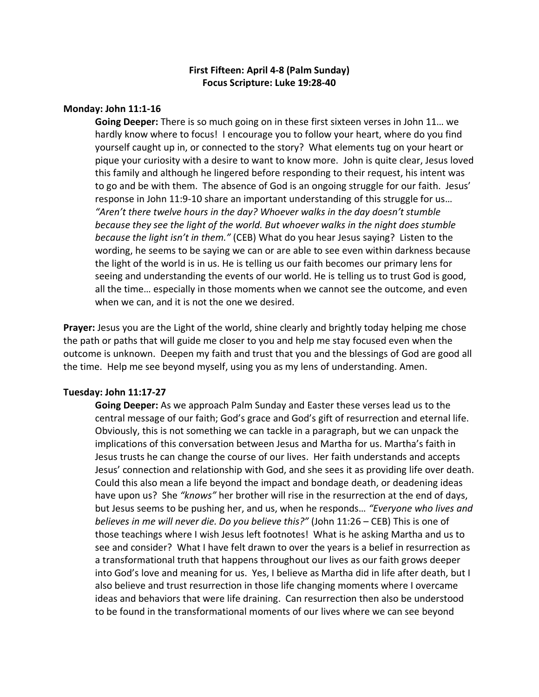# **First Fifteen: April 4-8 (Palm Sunday) Focus Scripture: Luke 19:28-40**

### **Monday: John 11:1-16**

**Going Deeper:** There is so much going on in these first sixteen verses in John 11… we hardly know where to focus! I encourage you to follow your heart, where do you find yourself caught up in, or connected to the story? What elements tug on your heart or pique your curiosity with a desire to want to know more. John is quite clear, Jesus loved this family and although he lingered before responding to their request, his intent was to go and be with them. The absence of God is an ongoing struggle for our faith. Jesus' response in John 11:9-10 share an important understanding of this struggle for us… *"Aren't there twelve hours in the day? Whoever walks in the day doesn't stumble because they see the light of the world. But whoever walks in the night does stumble because the light isn't in them."* (CEB) What do you hear Jesus saying? Listen to the wording, he seems to be saying we can or are able to see even within darkness because the light of the world is in us. He is telling us our faith becomes our primary lens for seeing and understanding the events of our world. He is telling us to trust God is good, all the time… especially in those moments when we cannot see the outcome, and even when we can, and it is not the one we desired.

**Prayer:** Jesus you are the Light of the world, shine clearly and brightly today helping me chose the path or paths that will guide me closer to you and help me stay focused even when the outcome is unknown. Deepen my faith and trust that you and the blessings of God are good all the time. Help me see beyond myself, using you as my lens of understanding. Amen.

#### **Tuesday: John 11:17-27**

**Going Deeper:** As we approach Palm Sunday and Easter these verses lead us to the central message of our faith; God's grace and God's gift of resurrection and eternal life. Obviously, this is not something we can tackle in a paragraph, but we can unpack the implications of this conversation between Jesus and Martha for us. Martha's faith in Jesus trusts he can change the course of our lives. Her faith understands and accepts Jesus' connection and relationship with God, and she sees it as providing life over death. Could this also mean a life beyond the impact and bondage death, or deadening ideas have upon us? She *"knows"* her brother will rise in the resurrection at the end of days, but Jesus seems to be pushing her, and us, when he responds… *"Everyone who lives and believes in me will never die. Do you believe this?"* (John 11:26 – CEB) This is one of those teachings where I wish Jesus left footnotes! What is he asking Martha and us to see and consider? What I have felt drawn to over the years is a belief in resurrection as a transformational truth that happens throughout our lives as our faith grows deeper into God's love and meaning for us. Yes, I believe as Martha did in life after death, but I also believe and trust resurrection in those life changing moments where I overcame ideas and behaviors that were life draining. Can resurrection then also be understood to be found in the transformational moments of our lives where we can see beyond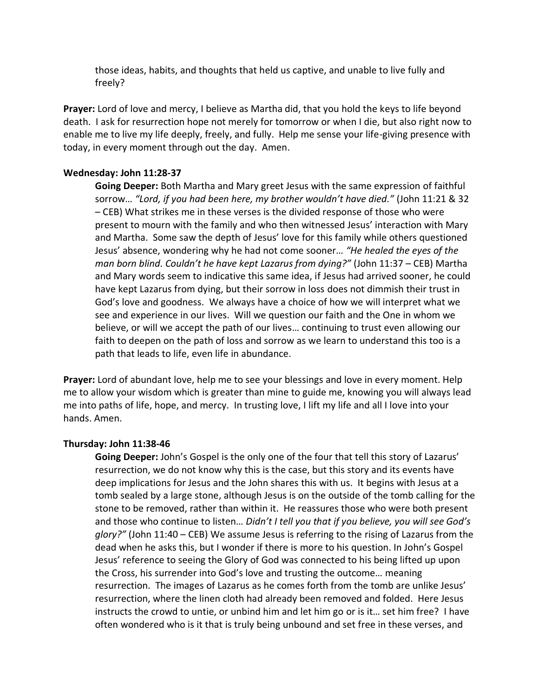those ideas, habits, and thoughts that held us captive, and unable to live fully and freely?

**Prayer:** Lord of love and mercy, I believe as Martha did, that you hold the keys to life beyond death. I ask for resurrection hope not merely for tomorrow or when I die, but also right now to enable me to live my life deeply, freely, and fully. Help me sense your life-giving presence with today, in every moment through out the day. Amen.

#### **Wednesday: John 11:28-37**

**Going Deeper:** Both Martha and Mary greet Jesus with the same expression of faithful sorrow… *"Lord, if you had been here, my brother wouldn't have died."* (John 11:21 & 32 – CEB) What strikes me in these verses is the divided response of those who were present to mourn with the family and who then witnessed Jesus' interaction with Mary and Martha. Some saw the depth of Jesus' love for this family while others questioned Jesus' absence, wondering why he had not come sooner… *"He healed the eyes of the man born blind. Couldn't he have kept Lazarus from dying?"* (John 11:37 – CEB) Martha and Mary words seem to indicative this same idea, if Jesus had arrived sooner, he could have kept Lazarus from dying, but their sorrow in loss does not dimmish their trust in God's love and goodness. We always have a choice of how we will interpret what we see and experience in our lives. Will we question our faith and the One in whom we believe, or will we accept the path of our lives… continuing to trust even allowing our faith to deepen on the path of loss and sorrow as we learn to understand this too is a path that leads to life, even life in abundance.

**Prayer:** Lord of abundant love, help me to see your blessings and love in every moment. Help me to allow your wisdom which is greater than mine to guide me, knowing you will always lead me into paths of life, hope, and mercy. In trusting love, I lift my life and all I love into your hands. Amen.

#### **Thursday: John 11:38-46**

**Going Deeper:** John's Gospel is the only one of the four that tell this story of Lazarus' resurrection, we do not know why this is the case, but this story and its events have deep implications for Jesus and the John shares this with us. It begins with Jesus at a tomb sealed by a large stone, although Jesus is on the outside of the tomb calling for the stone to be removed, rather than within it. He reassures those who were both present and those who continue to listen… *Didn't I tell you that if you believe, you will see God's glory?"* (John 11:40 – CEB) We assume Jesus is referring to the rising of Lazarus from the dead when he asks this, but I wonder if there is more to his question. In John's Gospel Jesus' reference to seeing the Glory of God was connected to his being lifted up upon the Cross, his surrender into God's love and trusting the outcome… meaning resurrection. The images of Lazarus as he comes forth from the tomb are unlike Jesus' resurrection, where the linen cloth had already been removed and folded. Here Jesus instructs the crowd to untie, or unbind him and let him go or is it… set him free? I have often wondered who is it that is truly being unbound and set free in these verses, and